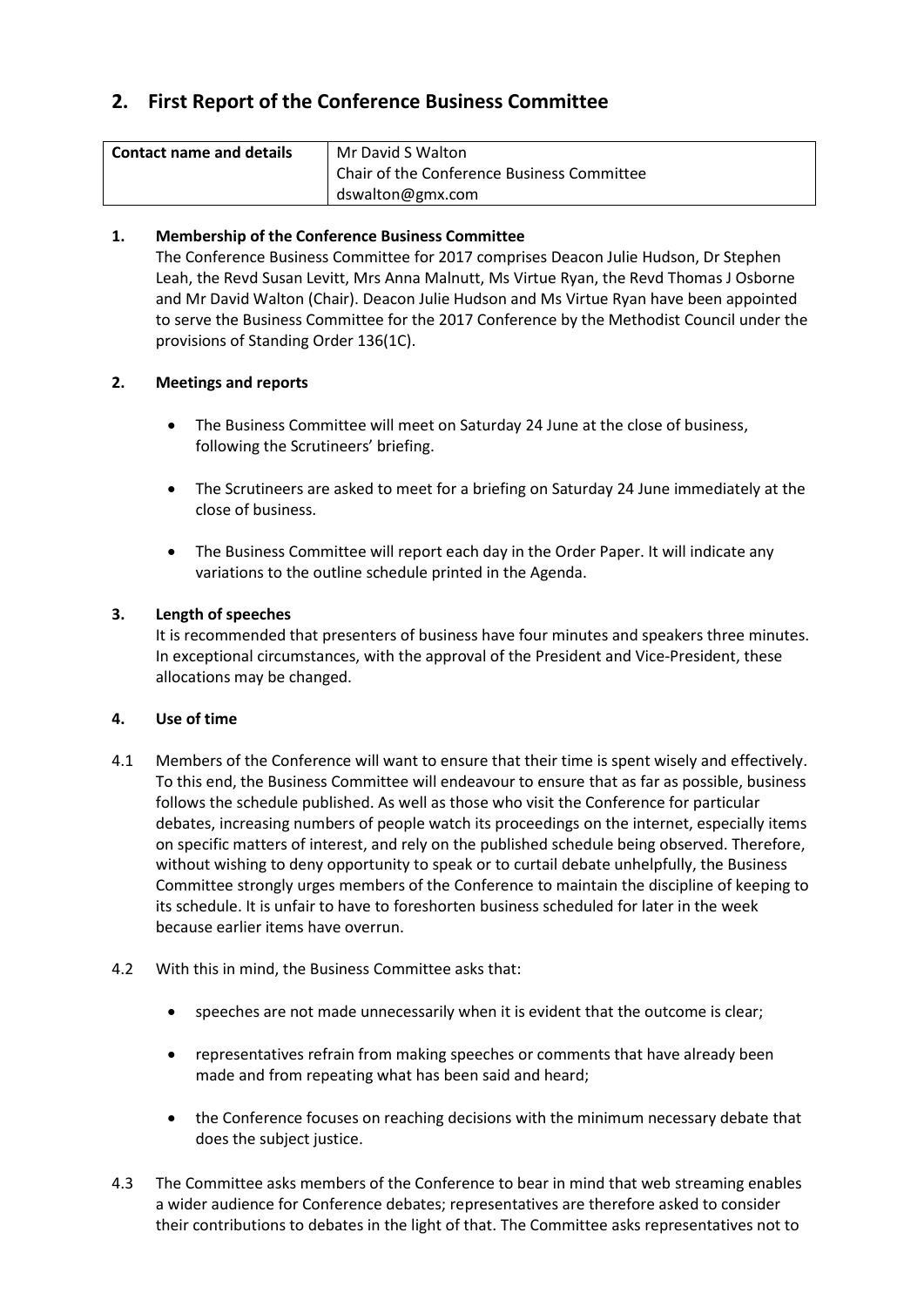# **2. First Report of the Conference Business Committee**

| <b>Contact name and details</b> | Mr David S Walton                          |  |
|---------------------------------|--------------------------------------------|--|
|                                 | Chair of the Conference Business Committee |  |
|                                 | dswalton@gmx.com                           |  |

## **1. Membership of the Conference Business Committee**

The Conference Business Committee for 2017 comprises Deacon Julie Hudson, Dr Stephen Leah, the Revd Susan Levitt, Mrs Anna Malnutt, Ms Virtue Ryan, the Revd Thomas J Osborne and Mr David Walton (Chair). Deacon Julie Hudson and Ms Virtue Ryan have been appointed to serve the Business Committee for the 2017 Conference by the Methodist Council under the provisions of Standing Order 136(1C).

# **2. Meetings and reports**

- The Business Committee will meet on Saturday 24 June at the close of business, following the Scrutineers' briefing.
- The Scrutineers are asked to meet for a briefing on Saturday 24 June immediately at the close of business.
- The Business Committee will report each day in the Order Paper. It will indicate any variations to the outline schedule printed in the Agenda.

## **3. Length of speeches**

It is recommended that presenters of business have four minutes and speakers three minutes. In exceptional circumstances, with the approval of the President and Vice-President, these allocations may be changed.

## **4. Use of time**

4.1 Members of the Conference will want to ensure that their time is spent wisely and effectively. To this end, the Business Committee will endeavour to ensure that as far as possible, business follows the schedule published. As well as those who visit the Conference for particular debates, increasing numbers of people watch its proceedings on the internet, especially items on specific matters of interest, and rely on the published schedule being observed. Therefore, without wishing to deny opportunity to speak or to curtail debate unhelpfully, the Business Committee strongly urges members of the Conference to maintain the discipline of keeping to its schedule. It is unfair to have to foreshorten business scheduled for later in the week because earlier items have overrun.

## 4.2 With this in mind, the Business Committee asks that:

- speeches are not made unnecessarily when it is evident that the outcome is clear;
- representatives refrain from making speeches or comments that have already been made and from repeating what has been said and heard;
- the Conference focuses on reaching decisions with the minimum necessary debate that does the subject justice.
- 4.3 The Committee asks members of the Conference to bear in mind that web streaming enables a wider audience for Conference debates; representatives are therefore asked to consider their contributions to debates in the light of that. The Committee asks representatives not to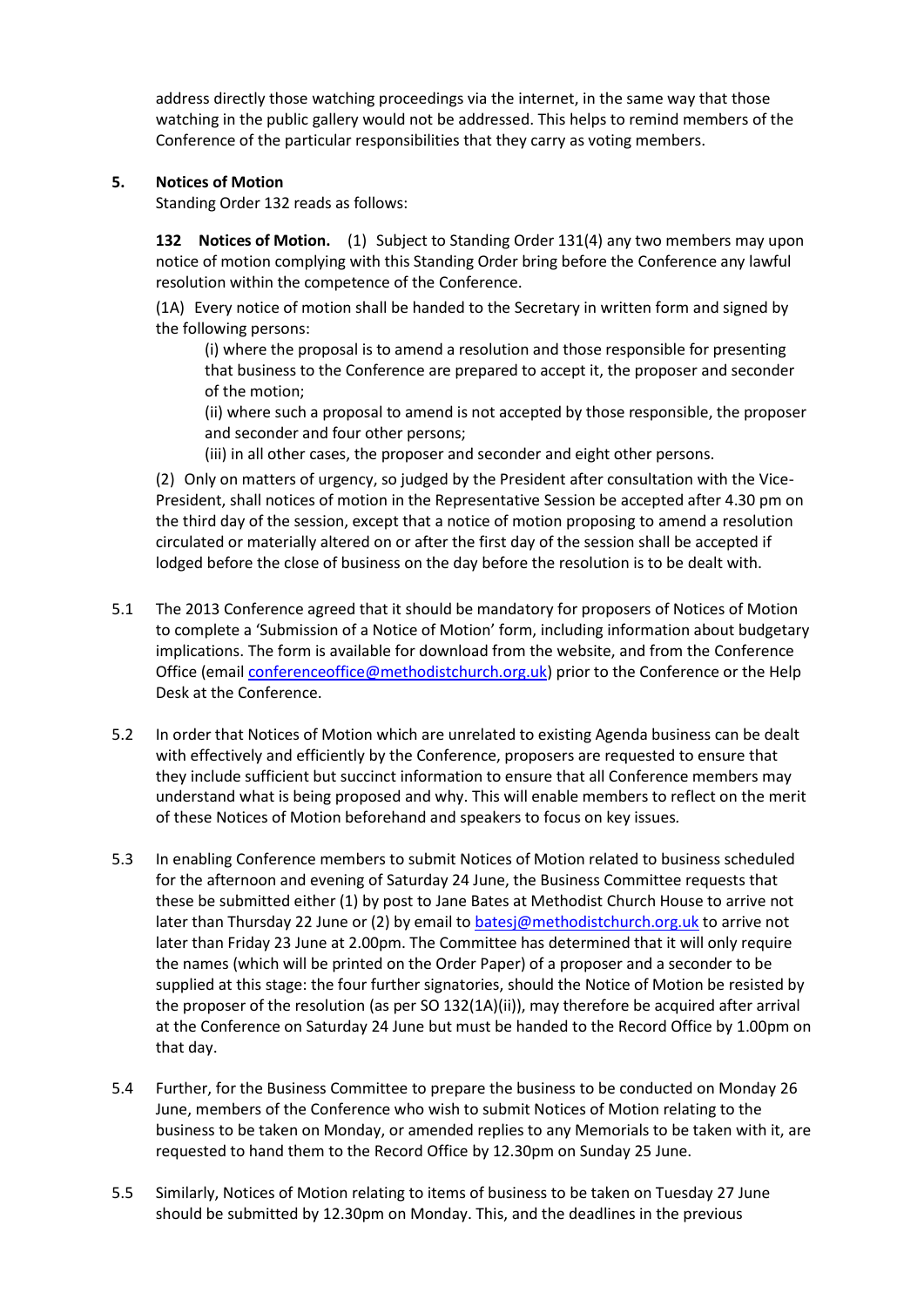address directly those watching proceedings via the internet, in the same way that those watching in the public gallery would not be addressed. This helps to remind members of the Conference of the particular responsibilities that they carry as voting members.

## **5. Notices of Motion**

Standing Order 132 reads as follows:

**132 Notices of Motion.** (1) Subject to Standing Order 131(4) any two members may upon notice of motion complying with this Standing Order bring before the Conference any lawful resolution within the competence of the Conference.

(1A) Every notice of motion shall be handed to the Secretary in written form and signed by the following persons:

(i) where the proposal is to amend a resolution and those responsible for presenting that business to the Conference are prepared to accept it, the proposer and seconder of the motion;

(ii) where such a proposal to amend is not accepted by those responsible, the proposer and seconder and four other persons;

(iii) in all other cases, the proposer and seconder and eight other persons.

(2) Only on matters of urgency, so judged by the President after consultation with the Vice-President, shall notices of motion in the Representative Session be accepted after 4.30 pm on the third day of the session, except that a notice of motion proposing to amend a resolution circulated or materially altered on or after the first day of the session shall be accepted if lodged before the close of business on the day before the resolution is to be dealt with.

- 5.1 The 2013 Conference agreed that it should be mandatory for proposers of Notices of Motion to complete a 'Submission of a Notice of Motion' form, including information about budgetary implications. The form is available for download from the website, and from the Conference Office (email [conferenceoffice@methodistchurch.org.uk\)](mailto:conferenceoffice@methodistchurch.org.uk) prior to the Conference or the Help Desk at the Conference.
- 5.2 In order that Notices of Motion which are unrelated to existing Agenda business can be dealt with effectively and efficiently by the Conference, proposers are requested to ensure that they include sufficient but succinct information to ensure that all Conference members may understand what is being proposed and why. This will enable members to reflect on the merit of these Notices of Motion beforehand and speakers to focus on key issues*.*
- 5.3 In enabling Conference members to submit Notices of Motion related to business scheduled for the afternoon and evening of Saturday 24 June, the Business Committee requests that these be submitted either (1) by post to Jane Bates at Methodist Church House to arrive not later than Thursday 22 June or (2) by email to [batesj@methodistchurch.org.uk](mailto:batesj@methodistchurch.org.uk) to arrive not later than Friday 23 June at 2.00pm. The Committee has determined that it will only require the names (which will be printed on the Order Paper) of a proposer and a seconder to be supplied at this stage: the four further signatories, should the Notice of Motion be resisted by the proposer of the resolution (as per SO 132(1A)(ii)), may therefore be acquired after arrival at the Conference on Saturday 24 June but must be handed to the Record Office by 1.00pm on that day.
- 5.4 Further, for the Business Committee to prepare the business to be conducted on Monday 26 June, members of the Conference who wish to submit Notices of Motion relating to the business to be taken on Monday, or amended replies to any Memorials to be taken with it, are requested to hand them to the Record Office by 12.30pm on Sunday 25 June.
- 5.5 Similarly, Notices of Motion relating to items of business to be taken on Tuesday 27 June should be submitted by 12.30pm on Monday. This, and the deadlines in the previous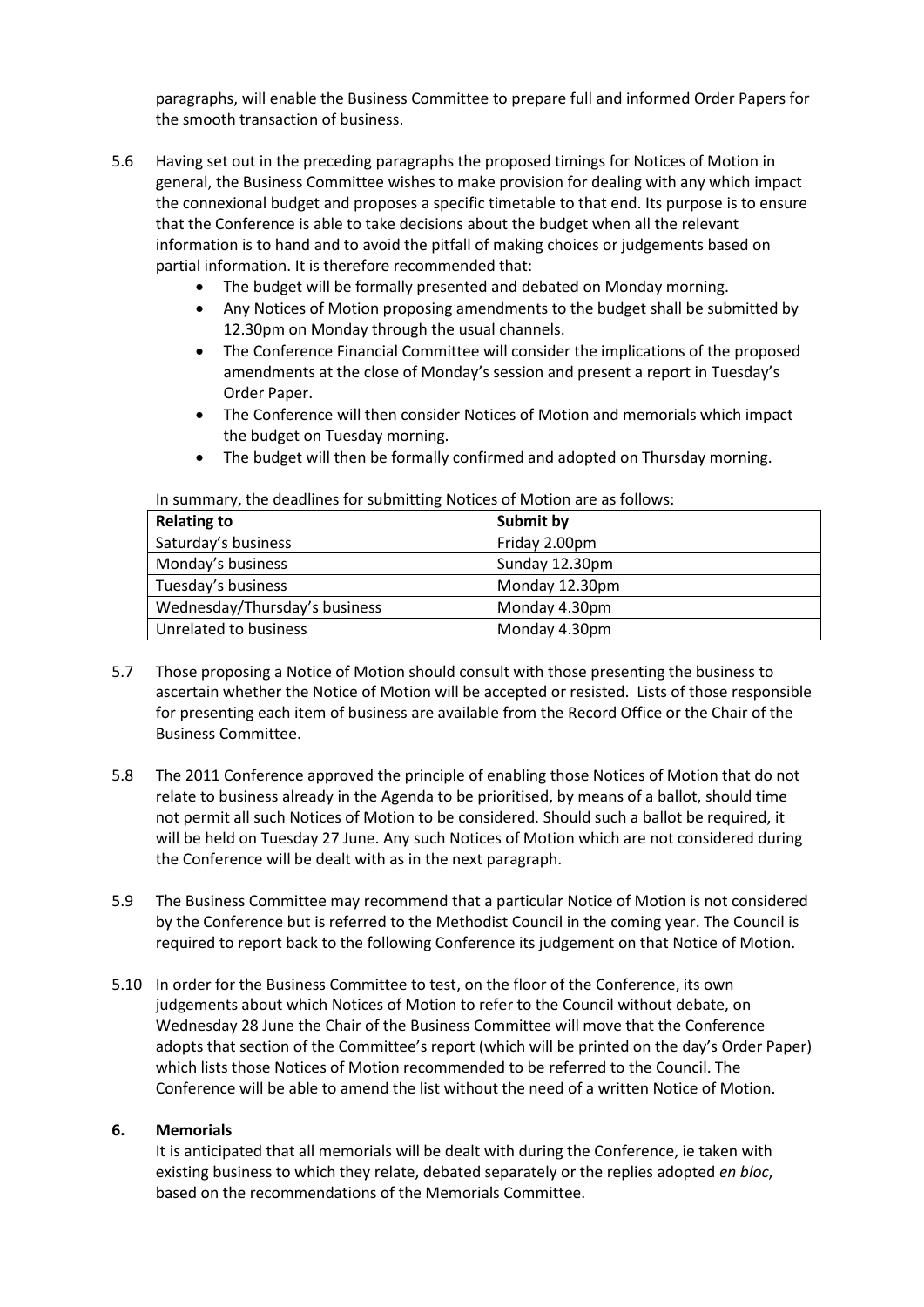paragraphs, will enable the Business Committee to prepare full and informed Order Papers for the smooth transaction of business.

- 5.6 Having set out in the preceding paragraphs the proposed timings for Notices of Motion in general, the Business Committee wishes to make provision for dealing with any which impact the connexional budget and proposes a specific timetable to that end. Its purpose is to ensure that the Conference is able to take decisions about the budget when all the relevant information is to hand and to avoid the pitfall of making choices or judgements based on partial information. It is therefore recommended that:
	- The budget will be formally presented and debated on Monday morning.
	- Any Notices of Motion proposing amendments to the budget shall be submitted by 12.30pm on Monday through the usual channels.
	- The Conference Financial Committee will consider the implications of the proposed amendments at the close of Monday's session and present a report in Tuesday's Order Paper.
	- The Conference will then consider Notices of Motion and memorials which impact the budget on Tuesday morning.

The budget will then be formally confirmed and adopted on Thursday morning.

- **Relating to Submit by** Saturday's business Friday 2.00pm Monday's business and sunday 12.30pm Tuesday's business Monday 12.30pm Wednesday/Thursday's business Monday 4.30pm Unrelated to business Monday 4.30pm
- In summary, the deadlines for submitting Notices of Motion are as follows:

- 5.7 Those proposing a Notice of Motion should consult with those presenting the business to ascertain whether the Notice of Motion will be accepted or resisted. Lists of those responsible for presenting each item of business are available from the Record Office or the Chair of the Business Committee.
- 5.8 The 2011 Conference approved the principle of enabling those Notices of Motion that do not relate to business already in the Agenda to be prioritised, by means of a ballot, should time not permit all such Notices of Motion to be considered. Should such a ballot be required, it will be held on Tuesday 27 June. Any such Notices of Motion which are not considered during the Conference will be dealt with as in the next paragraph.
- 5.9 The Business Committee may recommend that a particular Notice of Motion is not considered by the Conference but is referred to the Methodist Council in the coming year. The Council is required to report back to the following Conference its judgement on that Notice of Motion.
- 5.10 In order for the Business Committee to test, on the floor of the Conference, its own judgements about which Notices of Motion to refer to the Council without debate, on Wednesday 28 June the Chair of the Business Committee will move that the Conference adopts that section of the Committee's report (which will be printed on the day's Order Paper) which lists those Notices of Motion recommended to be referred to the Council. The Conference will be able to amend the list without the need of a written Notice of Motion.

### **6. Memorials**

It is anticipated that all memorials will be dealt with during the Conference, ie taken with existing business to which they relate, debated separately or the replies adopted *en bloc*, based on the recommendations of the Memorials Committee.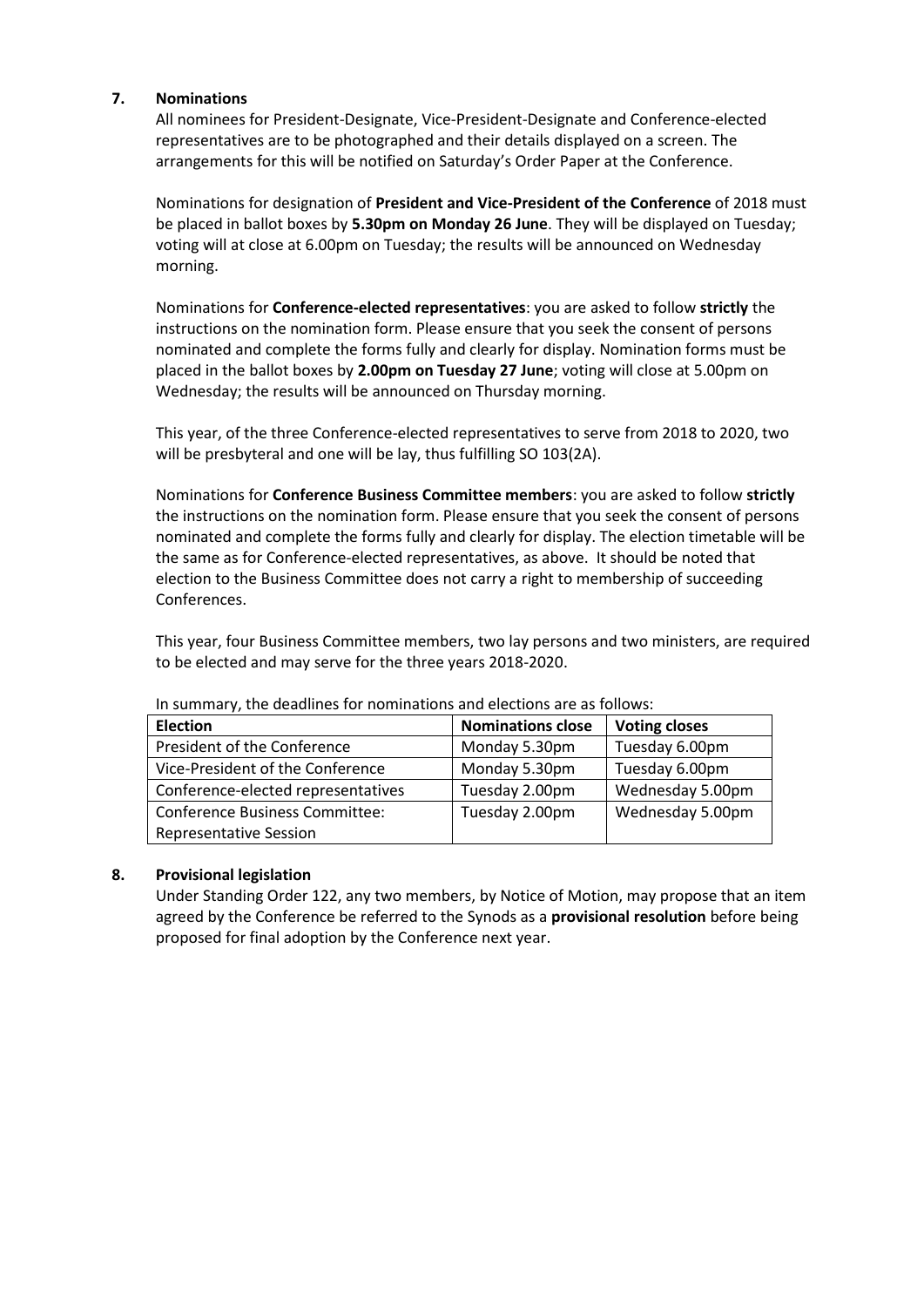### **7. Nominations**

All nominees for President-Designate, Vice-President-Designate and Conference-elected representatives are to be photographed and their details displayed on a screen. The arrangements for this will be notified on Saturday's Order Paper at the Conference.

Nominations for designation of **President and Vice-President of the Conference** of 2018 must be placed in ballot boxes by **5.30pm on Monday 26 June**. They will be displayed on Tuesday; voting will at close at 6.00pm on Tuesday; the results will be announced on Wednesday morning.

Nominations for **Conference-elected representatives**: you are asked to follow **strictly** the instructions on the nomination form. Please ensure that you seek the consent of persons nominated and complete the forms fully and clearly for display. Nomination forms must be placed in the ballot boxes by **2.00pm on Tuesday 27 June**; voting will close at 5.00pm on Wednesday; the results will be announced on Thursday morning.

This year, of the three Conference-elected representatives to serve from 2018 to 2020, two will be presbyteral and one will be lay, thus fulfilling SO 103(2A).

Nominations for **Conference Business Committee members**: you are asked to follow **strictly** the instructions on the nomination form. Please ensure that you seek the consent of persons nominated and complete the forms fully and clearly for display. The election timetable will be the same as for Conference-elected representatives, as above. It should be noted that election to the Business Committee does not carry a right to membership of succeeding Conferences.

This year, four Business Committee members, two lay persons and two ministers, are required to be elected and may serve for the three years 2018-2020.

| January, the acadmics for hominiations and cleations are as follows |                          |                      |  |
|---------------------------------------------------------------------|--------------------------|----------------------|--|
| <b>Election</b>                                                     | <b>Nominations close</b> | <b>Voting closes</b> |  |
| President of the Conference                                         | Monday 5.30pm            | Tuesday 6.00pm       |  |
| Vice-President of the Conference                                    | Monday 5.30pm            | Tuesday 6.00pm       |  |
| Conference-elected representatives                                  | Tuesday 2.00pm           | Wednesday 5.00pm     |  |
| <b>Conference Business Committee:</b>                               | Tuesday 2.00pm           | Wednesday 5.00pm     |  |
| <b>Representative Session</b>                                       |                          |                      |  |

In summary, the deadlines for nominations and elections are as follows:

## **8. Provisional legislation**

Under Standing Order 122, any two members, by Notice of Motion, may propose that an item agreed by the Conference be referred to the Synods as a **provisional resolution** before being proposed for final adoption by the Conference next year.